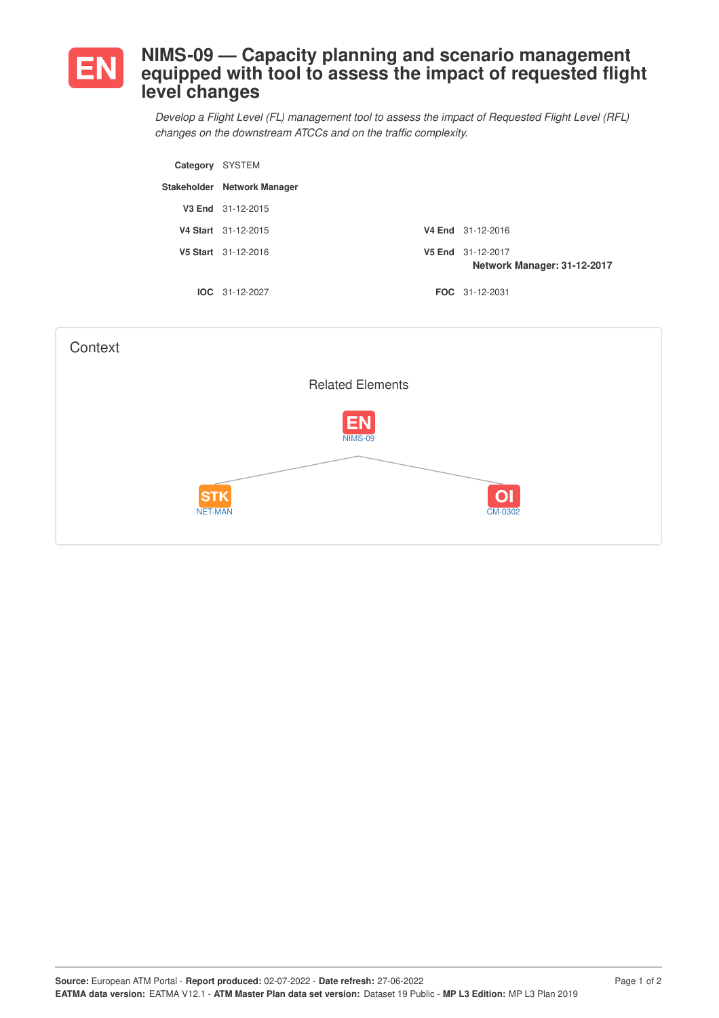

## **NIMS-09 — Capacity planning and scenario management equipped with tool to assess the impact of requested flight level changes**

*Develop a Flight Level (FL) management tool to assess the impact of Requested Flight Level (RFL) changes on the downstream ATCCs and on the traffic complexity.*

| Category SYSTEM |                             |                                                  |
|-----------------|-----------------------------|--------------------------------------------------|
|                 | Stakeholder Network Manager |                                                  |
|                 | V3 End 31-12-2015           |                                                  |
|                 | V4 Start 31-12-2015         | V4 End 31-12-2016                                |
|                 | V5 Start 31-12-2016         | V5 End 31-12-2017<br>Network Manager: 31-12-2017 |
|                 | $IOC 31-12-2027$            | <b>FOC</b> 31-12-2031                            |